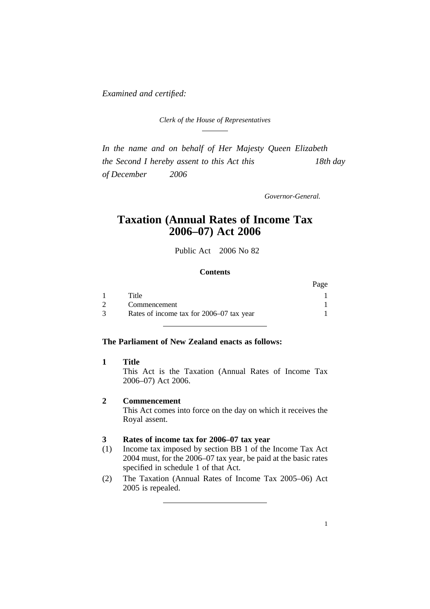*Examined and certified:*

*Clerk of the House of Representatives*

*In the name and on behalf of Her Majesty Queen Elizabeth the Second I hereby assent to this Act this 18th day of December 2006*

*Governor-General.*

# **Taxation (Annual Rates of Income Tax 2006–07) Act 2006**

Public Act 2006 No 82

#### **Contents**

|                                          | Page |
|------------------------------------------|------|
| Title                                    |      |
| Commencement                             |      |
| Rates of income tax for 2006–07 tax year |      |

#### **The Parliament of New Zealand enacts as follows:**

**1 Title** This Act is the Taxation (Annual Rates of Income Tax 2006–07) Act 2006.

### **2 Commencement**

This Act comes into force on the day on which it receives the Royal assent.

## **3 Rates of income tax for 2006–07 tax year**

- (1) Income tax imposed by section BB 1 of the Income Tax Act 2004 must, for the 2006–07 tax year, be paid at the basic rates specified in schedule 1 of that Act.
- (2) The Taxation (Annual Rates of Income Tax 2005–06) Act 2005 is repealed.